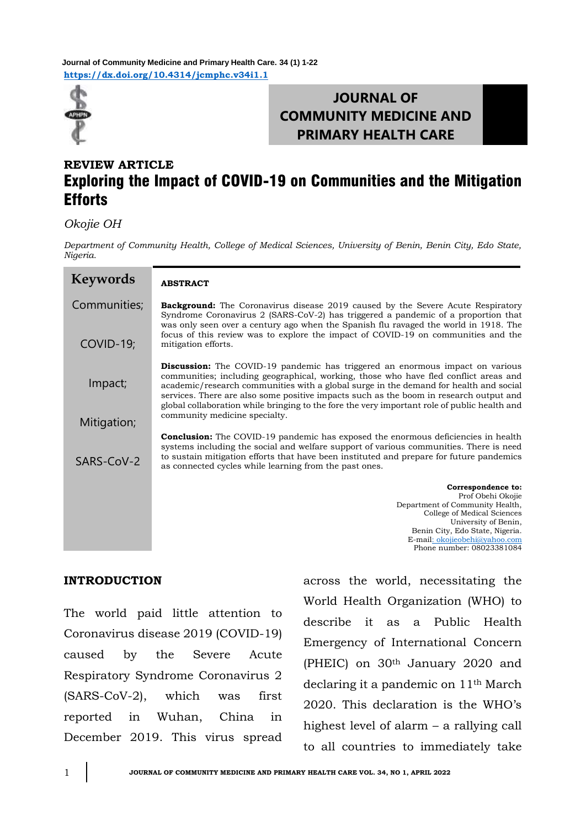**<https://dx.doi.org/10.4314/jcmphc.v34i1.1> Journal of Community Medicine and Primary Health Care. 34 (1) 1-22**



# **JOURNAL OF COMMUNITY MEDICINE AND PRIMARY HEALTH CARE**

## **REVIEW ARTICLE** Exploring the Impact of COVID-19 on Communities and the Mitigation **Efforts**

### *Okojie OH*

*Department of Community Health, College of Medical Sciences, University of Benin, Benin City, Edo State, Nigeria.*

| <b>Keywords</b> | <b>ABSTRACT</b>                                                                                                                                                                                                                                                                                                                                                                                                                                                 |
|-----------------|-----------------------------------------------------------------------------------------------------------------------------------------------------------------------------------------------------------------------------------------------------------------------------------------------------------------------------------------------------------------------------------------------------------------------------------------------------------------|
| Communities;    | <b>Background:</b> The Coronavirus disease 2019 caused by the Severe Acute Respiratory<br>Syndrome Coronavirus 2 (SARS-CoV-2) has triggered a pandemic of a proportion that<br>was only seen over a century ago when the Spanish flu ravaged the world in 1918. The                                                                                                                                                                                             |
| COVID-19;       | focus of this review was to explore the impact of COVID-19 on communities and the<br>mitigation efforts.                                                                                                                                                                                                                                                                                                                                                        |
| Impact;         | <b>Discussion:</b> The COVID-19 pandemic has triggered an enormous impact on various<br>communities; including geographical, working, those who have fled conflict areas and<br>academic/research communities with a global surge in the demand for health and social<br>services. There are also some positive impacts such as the boom in research output and<br>global collaboration while bringing to the fore the very important role of public health and |
| Mitigation;     | community medicine specialty.                                                                                                                                                                                                                                                                                                                                                                                                                                   |
| SARS-CoV-2      | <b>Conclusion:</b> The COVID-19 pandemic has exposed the enormous deficiencies in health<br>systems including the social and welfare support of various communities. There is need<br>to sustain mitigation efforts that have been instituted and prepare for future pandemics<br>as connected cycles while learning from the past ones.                                                                                                                        |
|                 | Correspondence to:                                                                                                                                                                                                                                                                                                                                                                                                                                              |
|                 | Prof Obehi Okojie<br>Department of Community Health,                                                                                                                                                                                                                                                                                                                                                                                                            |
|                 | College of Medical Sciences<br>University of Benin,                                                                                                                                                                                                                                                                                                                                                                                                             |
|                 | Benin City, Edo State, Nigeria.<br>E-mail: okojieobehi@yahoo.com                                                                                                                                                                                                                                                                                                                                                                                                |
|                 | Phone number: 08023381084                                                                                                                                                                                                                                                                                                                                                                                                                                       |

### **INTRODUCTION**

The world paid little attention to Coronavirus disease 2019 (COVID-19) caused by the Severe Acute Respiratory Syndrome Coronavirus 2 (SARS-CoV-2), which was first reported in Wuhan, China in December 2019. This virus spread

across the world, necessitating the World Health Organization (WHO) to describe it as a Public Health Emergency of International Concern (PHEIC) on 30th January 2020 and declaring it a pandemic on 11th March 2020. This declaration is the WHO's highest level of alarm – a rallying call to all countries to immediately take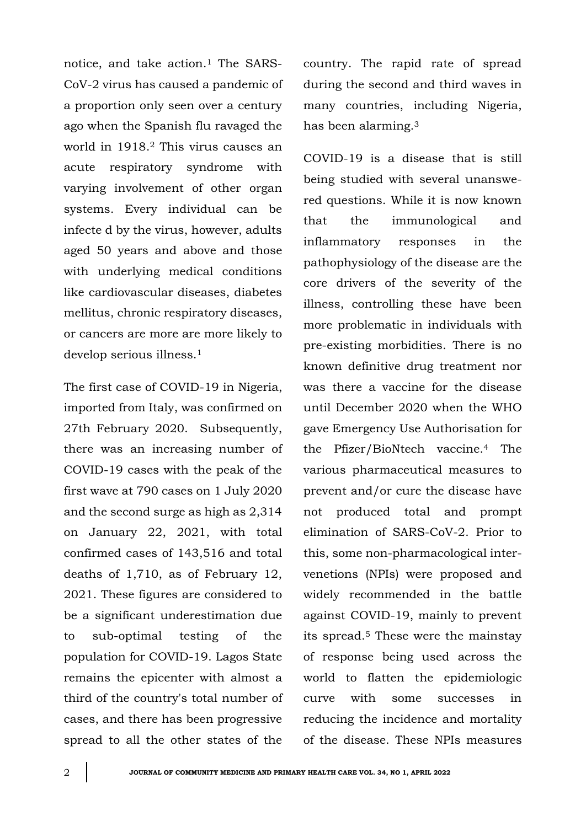notice, and take action.<sup>1</sup> The SARS-CoV-2 virus has caused a pandemic of a proportion only seen over a century ago when the Spanish flu ravaged the world in 1918.<sup>2</sup> This virus causes an acute respiratory syndrome with varying involvement of other organ systems. Every individual can be infecte d by the virus, however, adults aged 50 years and above and those with underlying medical conditions like cardiovascular diseases, diabetes mellitus, chronic respiratory diseases, or cancers are more are more likely to develop serious illness.<sup>1</sup>

The first case of COVID-19 in Nigeria, imported from Italy, was confirmed on 27th February 2020. Subsequently, there was an increasing number of COVID-19 cases with the peak of the first wave at 790 cases on 1 July 2020 and the second surge as high as 2,314 on January 22, 2021, with total confirmed cases of 143,516 and total deaths of 1,710, as of February 12, 2021. These figures are considered to be a significant underestimation due to sub-optimal testing of the population for COVID-19. Lagos State remains the epicenter with almost a third of the country's total number of cases, and there has been progressive spread to all the other states of the country. The rapid rate of spread during the second and third waves in many countries, including Nigeria, has been alarming.<sup>3</sup>

COVID-19 is a disease that is still being studied with several unanswered questions. While it is now known that the immunological and inflammatory responses in the pathophysiology of the disease are the core drivers of the severity of the illness, controlling these have been more problematic in individuals with pre-existing morbidities. There is no known definitive drug treatment nor was there a vaccine for the disease until December 2020 when the WHO gave Emergency Use Authorisation for the Pfizer/BioNtech vaccine.<sup>4</sup> The various pharmaceutical measures to prevent and/or cure the disease have not produced total and prompt elimination of SARS-CoV-2. Prior to this, some non-pharmacological intervenetions (NPIs) were proposed and widely recommended in the battle against COVID-19, mainly to prevent its spread.<sup>5</sup> These were the mainstay of response being used across the world to flatten the epidemiologic curve with some successes in reducing the incidence and mortality of the disease. These NPIs measures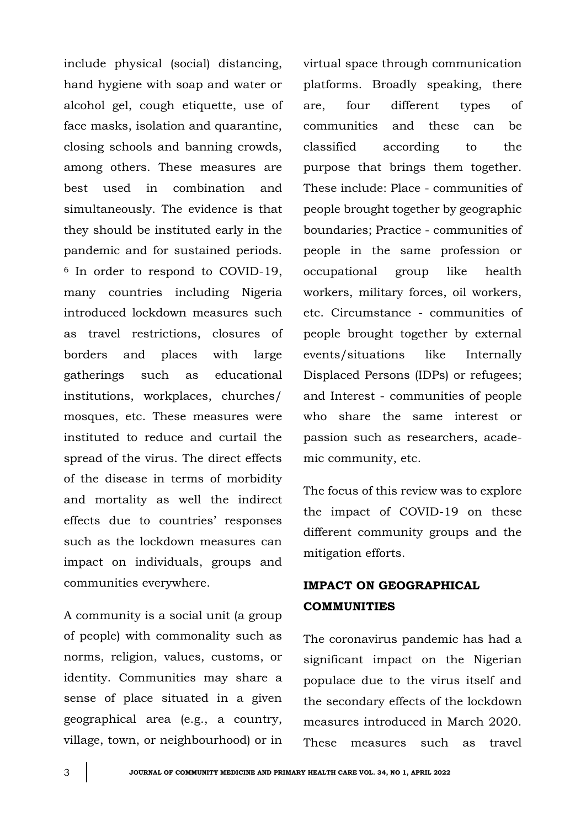include physical (social) distancing, hand hygiene with soap and water or alcohol gel, cough etiquette, use of face masks, isolation and quarantine, closing schools and banning crowds, among others. These measures are best used in combination and simultaneously. The evidence is that they should be instituted early in the pandemic and for sustained periods. <sup>6</sup> In order to respond to COVID-19, many countries including Nigeria introduced lockdown measures such as travel restrictions, closures of borders and places with large gatherings such as educational institutions, workplaces, churches/ mosques, etc. These measures were instituted to reduce and curtail the spread of the virus. The direct effects of the disease in terms of morbidity and mortality as well the indirect effects due to countries' responses such as the lockdown measures can impact on individuals, groups and communities everywhere.

A community is a social unit (a group of people) with commonality such as norms, religion, values, customs, or identity. Communities may share a sense of place situated in a given geographical area (e.g., a country, village, town, or neighbourhood) or in

virtual space through communication platforms. Broadly speaking, there are, four different types of communities and these can be classified according to the purpose that brings them together. These include: Place - communities of people brought together by geographic boundaries; Practice - communities of people in the same profession or occupational group like health workers, military forces, oil workers, etc. Circumstance - communities of people brought together by external events/situations like Internally Displaced Persons (IDPs) or refugees; and Interest - communities of people who share the same interest or passion such as researchers, academic community, etc.

The focus of this review was to explore the impact of COVID-19 on these different community groups and the mitigation efforts.

## **IMPACT ON GEOGRAPHICAL COMMUNITIES**

The coronavirus pandemic has had a significant impact on the Nigerian populace due to the virus itself and the secondary effects of the lockdown measures introduced in March 2020. These measures such as travel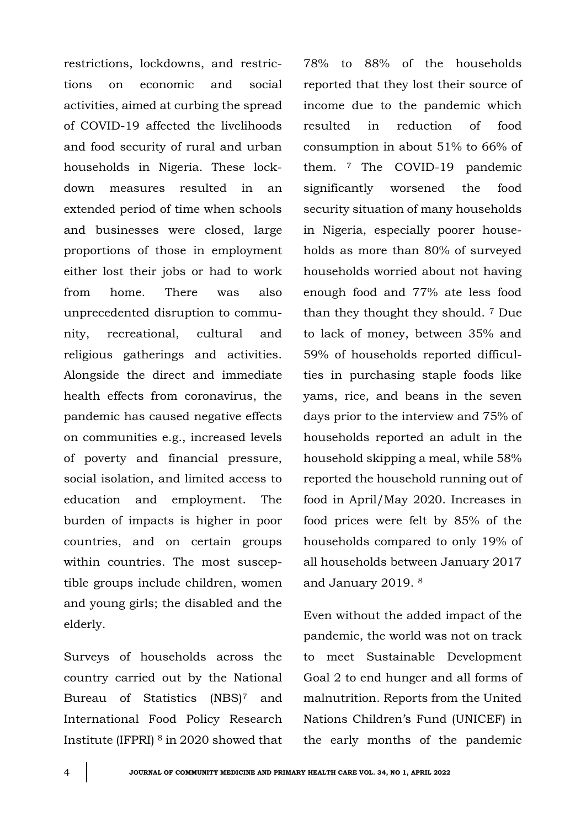restrictions, lockdowns, and restrictions on economic and social activities, aimed at curbing the spread of COVID-19 affected the livelihoods and food security of rural and urban households in Nigeria. These lockdown measures resulted in an extended period of time when schools and businesses were closed, large proportions of those in employment either lost their jobs or had to work from home. There was also unprecedented disruption to community, recreational, cultural and religious gatherings and activities. Alongside the direct and immediate health effects from coronavirus, the pandemic has caused negative effects on communities e.g., increased levels of poverty and financial pressure, social isolation, and limited access to education and employment. The burden of impacts is higher in poor countries, and on certain groups within countries. The most susceptible groups include children, women and young girls; the disabled and the elderly.

Surveys of households across the country carried out by the National Bureau of Statistics (NBS)<sup>7</sup> and International Food Policy Research Institute (IFPRI) <sup>8</sup> in 2020 showed that 78% to 88% of the households reported that they lost their source of income due to the pandemic which resulted in reduction of food consumption in about 51% to 66% of them. <sup>7</sup> The COVID-19 pandemic significantly worsened the food security situation of many households in Nigeria, especially poorer households as more than 80% of surveyed households worried about not having enough food and 77% ate less food than they thought they should. <sup>7</sup> Due to lack of money, between 35% and 59% of households reported difficulties in purchasing staple foods like yams, rice, and beans in the seven days prior to the interview and 75% of households reported an adult in the household skipping a meal, while 58% reported the household running out of food in April/May 2020. Increases in food prices were felt by 85% of the households compared to only 19% of all households between January 2017 and January 2019. <sup>8</sup>

Even without the added impact of the pandemic, the world was not on track to meet Sustainable Development Goal 2 to end hunger and all forms of malnutrition. Reports from the United Nations Children's Fund (UNICEF) in the early months of the pandemic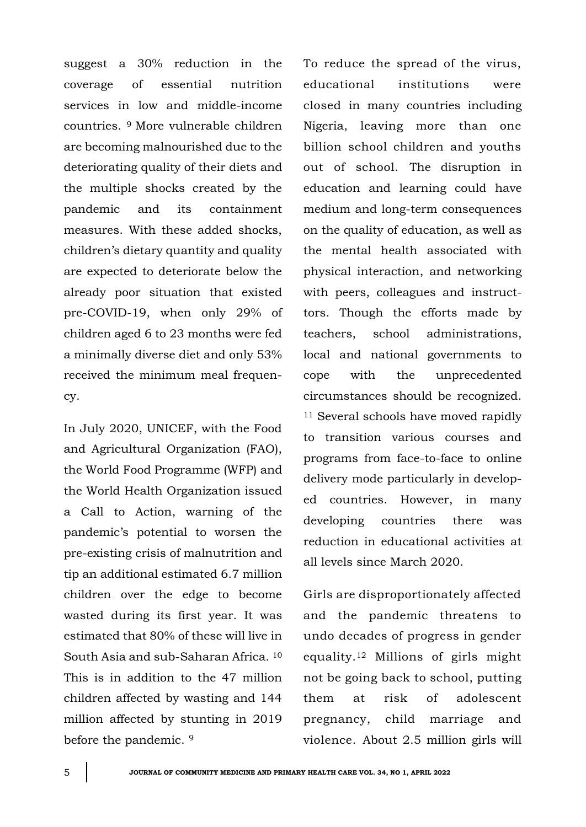suggest a 30% reduction in the coverage of essential nutrition services in low and middle-income countries. <sup>9</sup> More vulnerable children are becoming malnourished due to the deteriorating quality of their diets and the multiple shocks created by the pandemic and its containment measures. With these added shocks, children's dietary quantity and quality are expected to deteriorate below the already poor situation that existed pre-COVID-19, when only 29% of children aged 6 to 23 months were fed a minimally diverse diet and only 53% received the minimum meal frequency.

In July 2020, UNICEF, with the Food and Agricultural Organization (FAO), the World Food Programme (WFP) and the World Health Organization issued a Call to Action, warning of the pandemic's potential to worsen the pre-existing crisis of malnutrition and tip an additional estimated 6.7 million children over the edge to become wasted during its first year. It was estimated that 80% of these will live in South Asia and sub-Saharan Africa. <sup>10</sup> This is in addition to the 47 million children affected by wasting and 144 million affected by stunting in 2019 before the pandemic. <sup>9</sup>

To reduce the spread of the virus, educational institutions were closed in many countries including Nigeria, leaving more than one billion school children and youths out of school. The disruption in education and learning could have medium and long-term consequences on the quality of education, as well as the mental health associated with physical interaction, and networking with peers, colleagues and instructtors. Though the efforts made by teachers, school administrations, local and national governments to cope with the unprecedented circumstances should be recognized. <sup>11</sup> Several schools have moved rapidly to transition various courses and programs from face-to-face to online delivery mode particularly in developed countries. However, in many developing countries there was reduction in educational activities at all levels since March 2020.

Girls are disproportionately affected and the pandemic threatens to undo decades of progress in gender equality.<sup>12</sup> Millions of girls might not be going back to school, putting them at risk of adolescent pregnancy, child marriage and violence. About 2.5 million girls will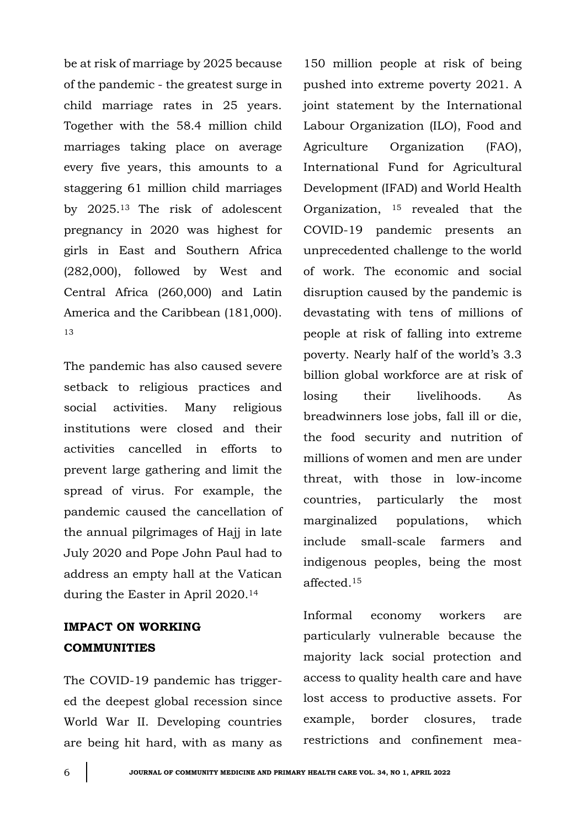be at risk of marriage by 2025 because of the pandemic - the greatest surge in child marriage rates in 25 years. Together with the 58.4 million child marriages taking place on average every five years, this amounts to a staggering 61 million child marriages by 2025.<sup>13</sup> The risk of adolescent pregnancy in 2020 was highest for girls in East and Southern Africa (282,000), followed by West and Central Africa (260,000) and Latin America and the Caribbean (181,000). 13

The pandemic has also caused severe setback to religious practices and social activities. Many religious institutions were closed and their activities cancelled in efforts to prevent large gathering and limit the spread of virus. For example, the pandemic caused the cancellation of the annual pilgrimages of Hajj in late July 2020 and Pope John Paul had to address an empty hall at the Vatican during the Easter in April 2020.<sup>14</sup>

## **IMPACT ON WORKING COMMUNITIES**

The COVID-19 pandemic has triggered the deepest global recession since World War II. Developing countries are being hit hard, with as many as

150 million people at risk of being pushed into extreme poverty 2021. A joint statement by the International Labour Organization (ILO), Food and Agriculture Organization (FAO), International Fund for Agricultural Development (IFAD) and World Health Organization, <sup>15</sup> revealed that the COVID-19 pandemic presents an unprecedented challenge to the world of work. The economic and social disruption caused by the pandemic is devastating with tens of millions of people at risk of falling into extreme poverty. Nearly half of the world's 3.3 billion global workforce are at risk of losing their livelihoods. As breadwinners lose jobs, fall ill or die, the food security and nutrition of millions of women and men are under threat, with those in low-income countries, particularly the most marginalized populations, which include small-scale farmers and indigenous peoples, being the most affected.<sup>15</sup>

Informal economy workers are particularly vulnerable because the majority lack social protection and access to quality health care and have lost access to productive assets. For example, border closures, trade restrictions and confinement mea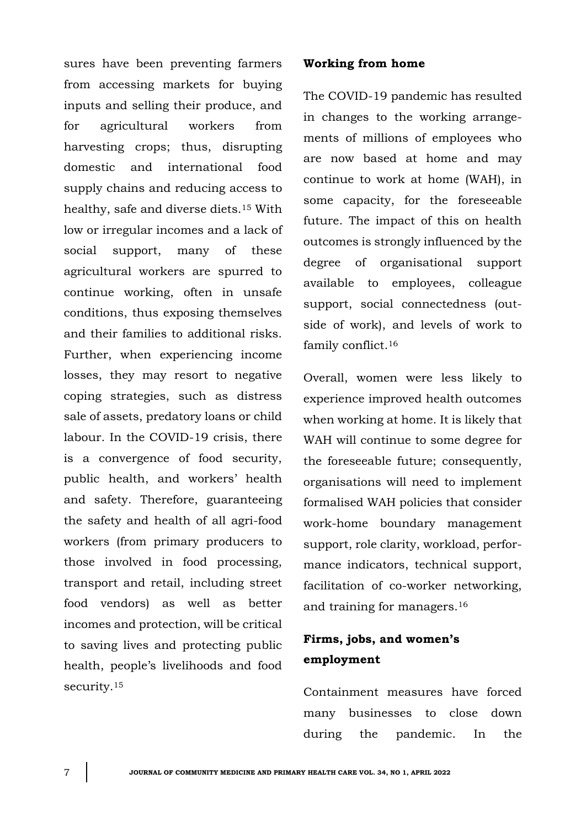sures have been preventing farmers from accessing markets for buying inputs and selling their produce, and for agricultural workers from harvesting crops; thus, disrupting domestic and international food supply chains and reducing access to healthy, safe and diverse diets.<sup>15</sup> With low or irregular incomes and a lack of social support, many of these agricultural workers are spurred to continue working, often in unsafe conditions, thus exposing themselves and their families to additional risks. Further, when experiencing income losses, they may resort to negative coping strategies, such as distress sale of assets, predatory loans or child labour. In the COVID-19 crisis, there is a convergence of food security, public health, and workers' health and safety. Therefore, guaranteeing the safety and health of all agri-food workers (from primary producers to those involved in food processing, transport and retail, including street food vendors) as well as better incomes and protection, will be critical to saving lives and protecting public health, people's livelihoods and food security.<sup>15</sup>

#### **Working from home**

The COVID-19 pandemic has resulted in changes to the working arrangements of millions of employees who are now based at home and may continue to work at home (WAH), in some capacity, for the foreseeable future. The impact of this on health outcomes is strongly influenced by the degree of organisational support available to employees, colleague support, social connectedness (outside of work), and levels of work to family conflict.<sup>16</sup>

Overall, women were less likely to experience improved health outcomes when working at home. It is likely that WAH will continue to some degree for the foreseeable future; consequently, organisations will need to implement formalised WAH policies that consider work-home boundary management support, role clarity, workload, performance indicators, technical support, facilitation of co-worker networking, and training for managers.<sup>16</sup>

## **Firms, jobs, and women's employment**

Containment measures have forced many businesses to close down during the pandemic. In the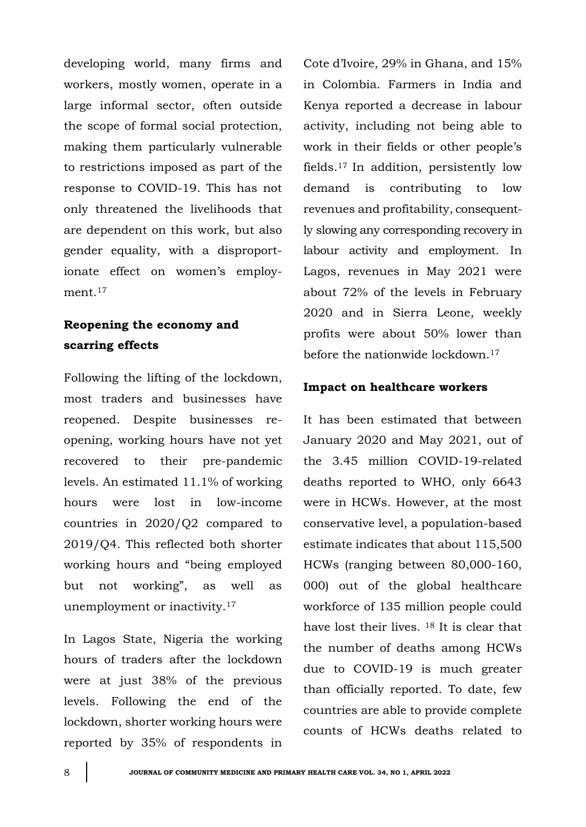developing world, many firms and workers, mostly women, operate in a large informal sector, often outside the scope of formal social protection, making them particularly vulnerable to restrictions imposed as part of the response to COVID-19. This has not only threatened the livelihoods that are dependent on this work, but also gender equality, with a disproportionate effect on women's employment.<sup>17</sup>

## **Reopening the economy and scarring effects**

Following the lifting of the lockdown, most traders and businesses have reopened. Despite businesses reopening, working hours have not yet recovered to their pre-pandemic levels. An estimated 11.1% of working hours were lost in low-income countries in 2020/Q2 compared to 2019/Q4. This reflected both shorter working hours and "being employed but not working", as well as unemployment or inactivity.<sup>17</sup>

In Lagos State, Nigeria the working hours of traders after the lockdown were at just 38% of the previous levels. Following the end of the lockdown, shorter working hours were reported by 35% of respondents in Cote d'Ivoire, 29% in Ghana, and 15% in Colombia. Farmers in India and Kenya reported a decrease in labour activity, including not being able to work in their fields or other people's fields.<sup>17</sup> In addition, persistently low demand is contributing to low revenues and profitability, consequently slowing any corresponding recovery in labour activity and employment. In Lagos, revenues in May 2021 were about 72% of the levels in February 2020 and in Sierra Leone, weekly profits were about 50% lower than before the nationwide lockdown.<sup>17</sup>

### **Impact on healthcare workers**

It has been estimated that between January 2020 and May 2021, out of the 3.45 million COVID-19-related deaths reported to WHO, only 6643 were in HCWs. However, at the most conservative level, a population-based estimate indicates that about 115,500 HCWs (ranging between 80,000-160, 000) out of the global healthcare workforce of 135 million people could have lost their lives. <sup>18</sup> It is clear that the number of deaths among HCWs due to COVID-19 is much greater than officially reported. To date, few countries are able to provide complete counts of HCWs deaths related to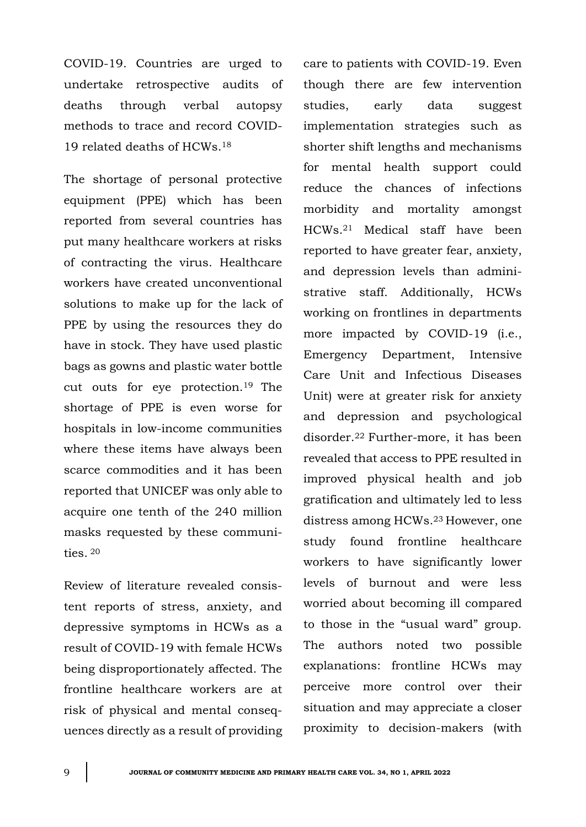COVID-19. Countries are urged to undertake retrospective audits of deaths through verbal autopsy methods to trace and record COVID-19 related deaths of HCWs.<sup>18</sup>

The shortage of personal protective equipment (PPE) which has been reported from several countries has put many healthcare workers at risks of contracting the virus. Healthcare workers have created unconventional solutions to make up for the lack of PPE by using the resources they do have in stock. They have used plastic bags as gowns and plastic water bottle cut outs for eye protection.19 The shortage of PPE is even worse for hospitals in low-income communities where these items have always been scarce commodities and it has been reported that UNICEF was only able to acquire one tenth of the 240 million masks requested by these communities. <sup>20</sup>

Review of literature revealed consistent reports of stress, anxiety, and depressive symptoms in HCWs as a result of COVID-19 with female HCWs being disproportionately affected. The frontline healthcare workers are at risk of physical and mental consequences directly as a result of providing care to patients with COVID-19. Even though there are few intervention studies, early data suggest implementation strategies such as shorter shift lengths and mechanisms for mental health support could reduce the chances of infections morbidity and mortality amongst HCWs.<sup>21</sup> Medical staff have been reported to have greater fear, anxiety, and depression levels than administrative staff. Additionally, HCWs working on frontlines in departments more impacted by COVID-19 (i.e., Emergency Department, Intensive Care Unit and Infectious Diseases Unit) were at greater risk for anxiety and depression and psychological disorder.<sup>22</sup> Further-more, it has been revealed that access to PPE resulted in improved physical health and job gratification and ultimately led to less distress among HCWs.23 However, one study found frontline healthcare workers to have significantly lower levels of burnout and were less worried about becoming ill compared to those in the "usual ward" group. The authors noted two possible explanations: frontline HCWs may perceive more control over their situation and may appreciate a closer proximity to decision-makers (with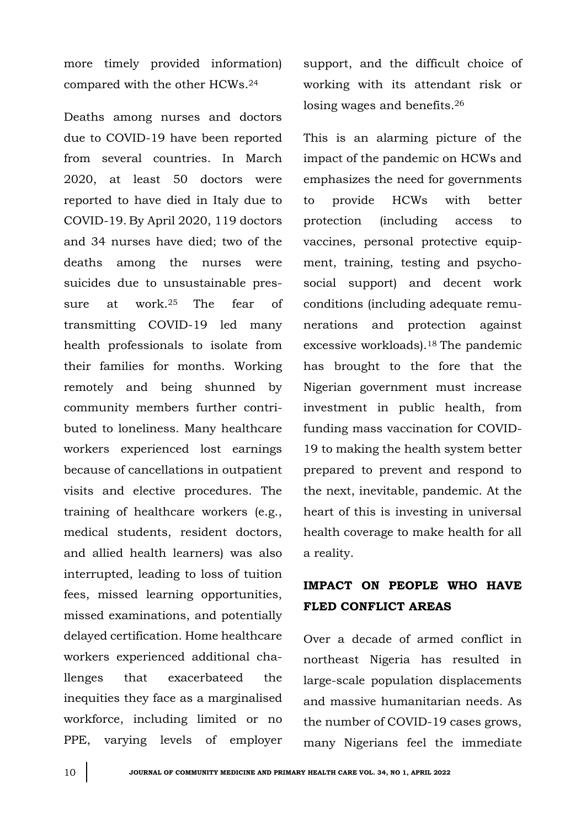more timely provided information) compared with the other HCWs.<sup>24</sup>

Deaths among nurses and doctors due to COVID-19 have been reported from several countries. In March 2020, at least 50 doctors were reported to have died in Italy due to COVID-19. By April 2020, 119 doctors and 34 nurses have died; two of the deaths among the nurses were suicides due to unsustainable pressure at work.<sup>25</sup> The fear of transmitting COVID-19 led many health professionals to isolate from their families for months. Working remotely and being shunned by community members further contributed to loneliness. Many healthcare workers experienced lost earnings because of cancellations in outpatient visits and elective procedures. The training of healthcare workers (e.g., medical students, resident doctors, and allied health learners) was also interrupted, leading to loss of tuition fees, missed learning opportunities, missed examinations, and potentially delayed certification. Home healthcare workers experienced additional challenges that exacerbateed the inequities they face as a marginalised workforce, including limited or no PPE, varying levels of employer

support, and the difficult choice of working with its attendant risk or losing wages and benefits.<sup>26</sup>

This is an alarming picture of the impact of the pandemic on HCWs and emphasizes the need for governments to provide HCWs with better protection (including access to vaccines, personal protective equipment, training, testing and psychosocial support) and decent work conditions (including adequate remunerations and protection against excessive workloads).18 The pandemic has brought to the fore that the Nigerian government must increase investment in public health, from funding mass vaccination for COVID-19 to making the health system better prepared to prevent and respond to the next, inevitable, pandemic. At the heart of this is investing in universal health coverage to make health for all a reality.

## **IMPACT ON PEOPLE WHO HAVE FLED CONFLICT AREAS**

Over a decade of armed conflict in northeast Nigeria has resulted in large-scale population displacements and massive humanitarian needs. As the number of COVID-19 cases grows, many Nigerians feel the immediate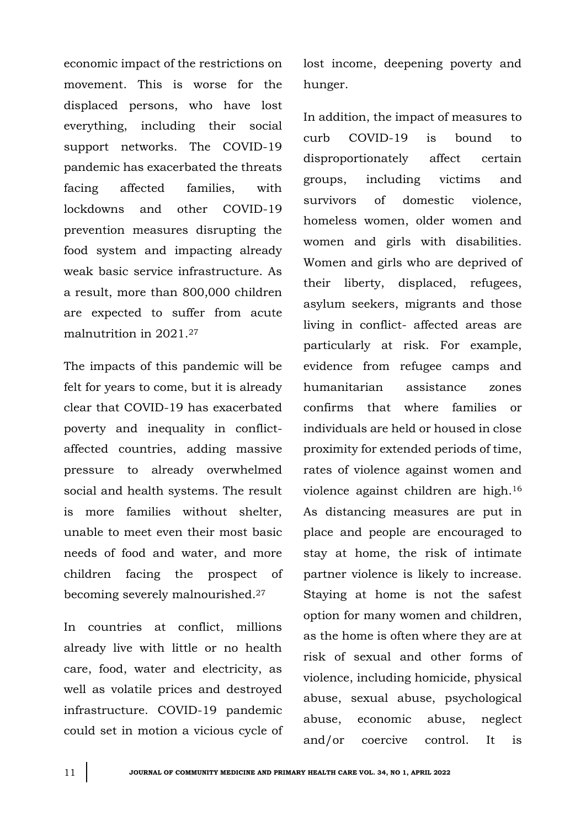economic impact of the restrictions on movement. This is worse for the displaced persons, who have lost everything, including their social support networks. The COVID-19 pandemic has exacerbated the threats facing affected families, with lockdowns and other COVID-19 prevention measures disrupting the food system and impacting already weak basic service infrastructure. As a result, more than 800,000 children are expected to suffer from acute malnutrition in 2021.<sup>27</sup>

The impacts of this pandemic will be felt for years to come, but it is already clear that COVID-19 has exacerbated poverty and inequality in conflictaffected countries, adding massive pressure to already overwhelmed social and health systems. The result is more families without shelter, unable to meet even their most basic needs of food and water, and more children facing the prospect of becoming severely malnourished.<sup>27</sup>

In countries at conflict, millions already live with little or no health care, food, water and electricity, as well as volatile prices and destroyed infrastructure. COVID-19 pandemic could set in motion a vicious cycle of lost income, deepening poverty and hunger.

In addition, the impact of measures to curb COVID-19 is bound to disproportionately affect certain groups, including victims and survivors of domestic violence, homeless women, older women and women and girls with disabilities. Women and girls who are deprived of their liberty, displaced, refugees, asylum seekers, migrants and those living in conflict- affected areas are particularly at risk. For example, evidence from refugee camps and humanitarian assistance zones confirms that where families or individuals are held or housed in close proximity for extended periods of time, rates of violence against women and violence against children are high.<sup>16</sup> As distancing measures are put in place and people are encouraged to stay at home, the risk of intimate partner violence is likely to increase. Staying at home is not the safest option for many women and children, as the home is often where they are at risk of sexual and other forms of violence, including homicide, physical abuse, sexual abuse, psychological abuse, economic abuse, neglect and/or coercive control. It is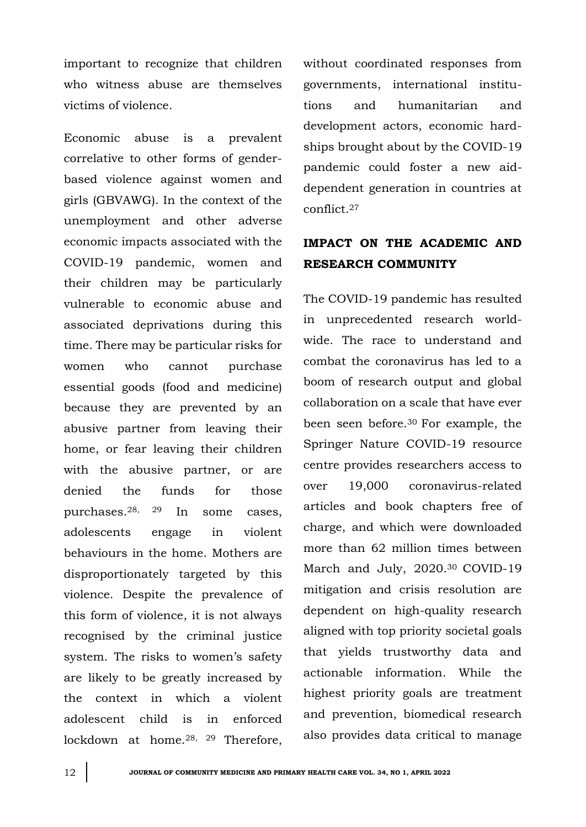important to recognize that children who witness abuse are themselves victims of violence.

Economic abuse is a prevalent correlative to other forms of genderbased violence against women and girls (GBVAWG). In the context of the unemployment and other adverse economic impacts associated with the COVID-19 pandemic, women and their children may be particularly vulnerable to economic abuse and associated deprivations during this time. There may be particular risks for women who cannot purchase essential goods (food and medicine) because they are prevented by an abusive partner from leaving their home, or fear leaving their children with the abusive partner, or are denied the funds for those purchases.28, 29 In some cases, adolescents engage in violent behaviours in the home. Mothers are disproportionately targeted by this violence. Despite the prevalence of this form of violence, it is not always recognised by the criminal justice system. The risks to women's safety are likely to be greatly increased by the context in which a violent adolescent child is in enforced lockdown at home.28, 29 Therefore,

without coordinated responses from governments, international institutions and humanitarian and development actors, economic hardships brought about by the COVID-19 pandemic could foster a new aiddependent generation in countries at conflict.<sup>27</sup>

## **IMPACT ON THE ACADEMIC AND RESEARCH COMMUNITY**

The COVID-19 pandemic has resulted in unprecedented research worldwide. The race to understand and combat the coronavirus has led to a boom of research output and global collaboration on a scale that have ever been seen before.<sup>30</sup> For example, the Springer Nature COVID-19 resource centre provides researchers access to over 19,000 coronavirus-related articles and book chapters free of charge, and which were downloaded more than 62 million times between March and July, 2020.30 COVID-19 mitigation and crisis resolution are dependent on high-quality research aligned with top priority societal goals that yields trustworthy data and actionable information. While the highest priority goals are treatment and prevention, biomedical research also provides data critical to manage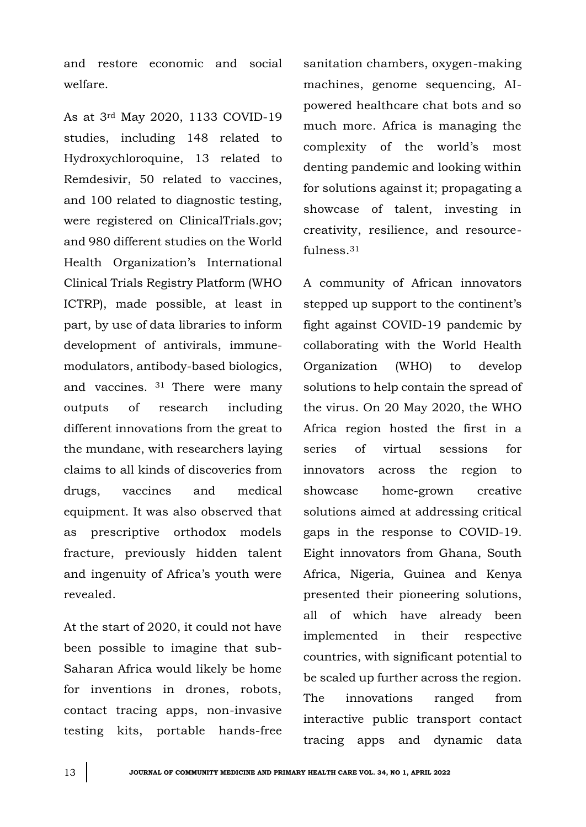and restore economic and social welfare.

As at 3rd May 2020, 1133 COVID-19 studies, including 148 related to Hydroxychloroquine, 13 related to Remdesivir, 50 related to vaccines, and 100 related to diagnostic testing, were registered on ClinicalTrials.gov; and 980 different studies on the World Health Organization's International Clinical Trials Registry Platform (WHO ICTRP), made possible, at least in part, by use of data libraries to inform development of antivirals, immunemodulators, antibody-based biologics, and vaccines. <sup>31</sup> There were many outputs of research including different innovations from the great to the mundane, with researchers laying claims to all kinds of discoveries from drugs, vaccines and medical equipment. It was also observed that as prescriptive orthodox models fracture, previously hidden talent and ingenuity of Africa's youth were revealed.

At the start of 2020, it could not have been possible to imagine that sub-Saharan Africa would likely be home for inventions in drones, robots, contact tracing apps, non-invasive testing kits, portable hands-free

sanitation chambers, oxygen-making machines, genome sequencing, AIpowered healthcare chat bots and so much more. Africa is managing the complexity of the world's most denting pandemic and looking within for solutions against it; propagating a showcase of talent, investing in creativity, resilience, and resourcefulness.<sup>31</sup>

A community of African innovators stepped up support to the continent's fight against COVID-19 pandemic by collaborating with the World Health Organization (WHO) to develop solutions to help contain the spread of the virus. On 20 May 2020, the WHO Africa region hosted the first in a series of virtual sessions for innovators across the region to showcase home-grown creative solutions aimed at addressing critical gaps in the response to COVID-19. Eight innovators from Ghana, South Africa, Nigeria, Guinea and Kenya presented their pioneering solutions, all of which have already been implemented in their respective countries, with significant potential to be scaled up further across the region. The innovations ranged from interactive public transport contact tracing apps and dynamic data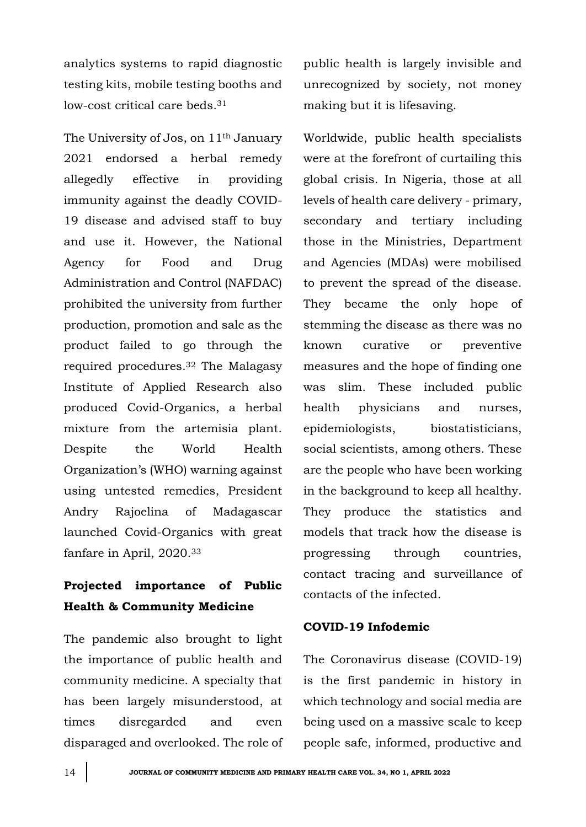analytics systems to rapid diagnostic testing kits, mobile testing booths and low-cost critical care beds.<sup>31</sup>

The University of Jos, on 11th January 2021 endorsed a herbal remedy allegedly effective in providing immunity against the deadly COVID-19 disease and advised staff to buy and use it. However, the National Agency for Food and Drug Administration and Control (NAFDAC) prohibited the university from further production, promotion and sale as the product failed to go through the required procedures. <sup>32</sup> The Malagasy Institute of Applied Research also produced Covid-Organics, a herbal mixture from the artemisia plant. Despite the World Health Organization's (WHO) warning against using untested remedies, President Andry Rajoelina of Madagascar launched Covid-Organics with great fanfare in April, 2020.<sup>33</sup>

# **Projected importance of Public Health & Community Medicine**

The pandemic also brought to light the importance of public health and community medicine. A specialty that has been largely misunderstood, at times disregarded and even disparaged and overlooked. The role of public health is largely invisible and unrecognized by society, not money making but it is lifesaving.

Worldwide, public health specialists were at the forefront of curtailing this global crisis. In Nigeria, those at all levels of health care delivery - primary, secondary and tertiary including those in the Ministries, Department and Agencies (MDAs) were mobilised to prevent the spread of the disease. They became the only hope of stemming the disease as there was no known curative or preventive measures and the hope of finding one was slim. These included public health physicians and nurses, epidemiologists, biostatisticians, social scientists, among others. These are the people who have been working in the background to keep all healthy. They produce the statistics and models that track how the disease is progressing through countries, contact tracing and surveillance of contacts of the infected.

### **COVID-19 Infodemic**

The Coronavirus disease (COVID-19) is the first pandemic in history in which technology and social media are being used on a massive scale to keep people safe, informed, productive and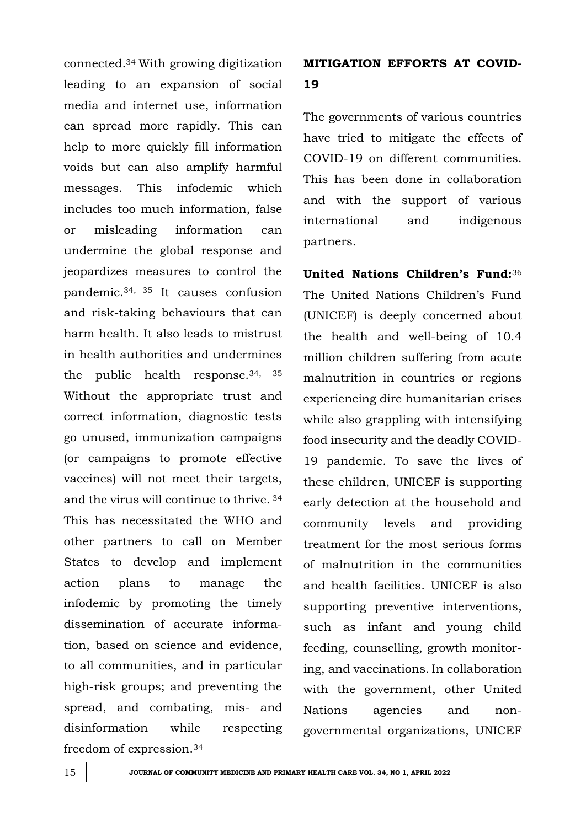connected.<sup>34</sup> With growing digitization leading to an expansion of social media and internet use, information can spread more rapidly. This can help to more quickly fill information voids but can also amplify harmful messages. This infodemic which includes too much information, false or misleading information can undermine the global response and jeopardizes measures to control the pandemic.34, 35 It causes confusion and risk-taking behaviours that can harm health. It also leads to mistrust in health authorities and undermines the public health response.34, 35 Without the appropriate trust and correct information, diagnostic tests go unused, immunization campaigns (or campaigns to promote effective vaccines) will not meet their targets, and the virus will continue to thrive. <sup>34</sup> This has necessitated the WHO and other partners to call on Member States to develop and implement action plans to manage the infodemic by promoting the timely dissemination of accurate information, based on science and evidence, to all communities, and in particular high-risk groups; and preventing the spread, and combating, mis- and disinformation while respecting freedom of expression.<sup>34</sup>

# **MITIGATION EFFORTS AT COVID-19**

The governments of various countries have tried to mitigate the effects of COVID-19 on different communities. This has been done in collaboration and with the support of various international and indigenous partners.

**United Nations Children's Fund:**<sup>36</sup> The United Nations Children's Fund (UNICEF) is deeply concerned about the health and well-being of 10.4 million children suffering from acute malnutrition in countries or regions experiencing dire humanitarian crises while also grappling with intensifying food insecurity and the deadly COVID-19 pandemic. To save the lives of these children, UNICEF is supporting early detection at the household and community levels and providing treatment for the most serious forms of malnutrition in the communities and health facilities. UNICEF is also supporting preventive interventions, such as infant and young child feeding, counselling, growth monitoring, and vaccinations. In collaboration with the government, other United Nations agencies and nongovernmental organizations, UNICEF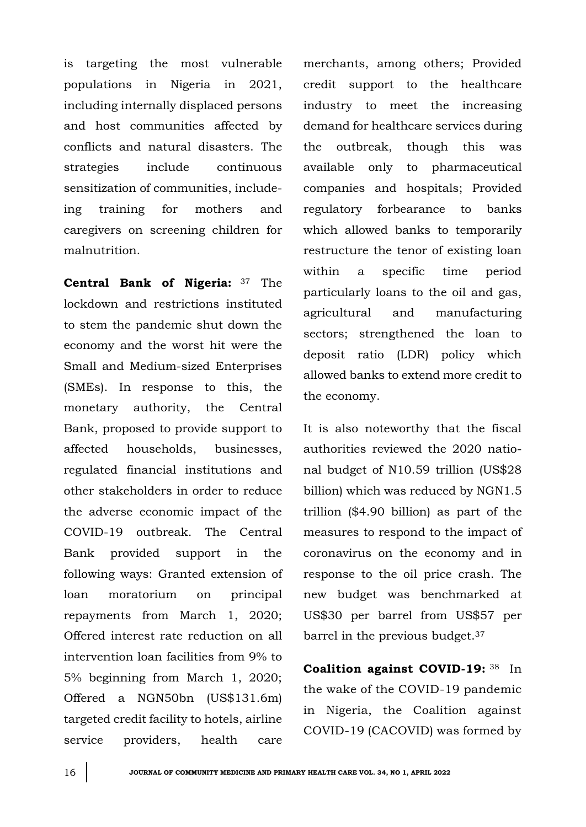is targeting the most vulnerable populations in Nigeria in 2021, including internally displaced persons and host communities affected by conflicts and natural disasters. The strategies include continuous sensitization of communities, includeing training for mothers and caregivers on screening children for malnutrition.

**Central Bank of Nigeria:** <sup>37</sup> The lockdown and restrictions instituted to stem the pandemic shut down the economy and the worst hit were the Small and Medium-sized Enterprises (SMEs). In response to this, the monetary authority, the Central Bank, proposed to provide support to affected households, businesses, regulated financial institutions and other stakeholders in order to reduce the adverse economic impact of the COVID-19 outbreak. The Central Bank provided support in the following ways: Granted extension of loan moratorium on principal repayments from March 1, 2020; Offered interest rate reduction on all intervention loan facilities from 9% to 5% beginning from March 1, 2020; Offered a NGN50bn (US\$131.6m) targeted credit facility to hotels, airline service providers, health care

merchants, among others; Provided credit support to the healthcare industry to meet the increasing demand for healthcare services during the outbreak, though this was available only to pharmaceutical companies and hospitals; Provided regulatory forbearance to banks which allowed banks to temporarily restructure the tenor of existing loan within a specific time period particularly loans to the oil and gas, agricultural and manufacturing sectors; strengthened the loan to deposit ratio (LDR) policy which allowed banks to extend more credit to the economy.

It is also noteworthy that the fiscal authorities reviewed the 2020 national budget of N10.59 trillion (US\$28 billion) which was reduced by NGN1.5 trillion (\$4.90 billion) as part of the measures to respond to the impact of coronavirus on the economy and in response to the oil price crash. The new budget was benchmarked at US\$30 per barrel from US\$57 per barrel in the previous budget.<sup>37</sup>

**Coalition against COVID-19:** <sup>38</sup> In the wake of the COVID-19 pandemic in Nigeria, the Coalition against COVID-19 (CACOVID) was formed by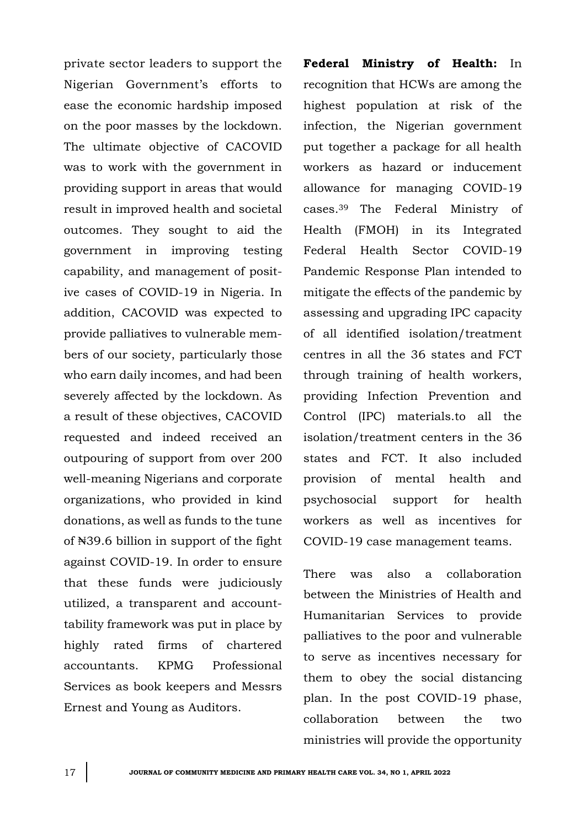private sector leaders to support the Nigerian Government's efforts to ease the economic hardship imposed on the poor masses by the lockdown. The ultimate objective of CACOVID was to work with the government in providing support in areas that would result in improved health and societal outcomes. They sought to aid the government in improving testing capability, and management of positive cases of COVID-19 in Nigeria. In addition, CACOVID was expected to provide palliatives to vulnerable members of our society, particularly those who earn daily incomes, and had been severely affected by the lockdown. As a result of these objectives, CACOVID requested and indeed received an outpouring of support from over 200 well-meaning Nigerians and corporate organizations, who provided in kind donations, as well as funds to the tune of ₦39.6 billion in support of the fight against COVID-19. In order to ensure that these funds were judiciously utilized, a transparent and accounttability framework was put in place by highly rated firms of chartered accountants. KPMG Professional Services as book keepers and Messrs Ernest and Young as Auditors.

**Federal Ministry of Health:** In recognition that HCWs are among the highest population at risk of the infection, the Nigerian government put together a package for all health workers as hazard or inducement allowance for managing COVID-19 cases.<sup>39</sup> The Federal Ministry of Health (FMOH) in its Integrated Federal Health Sector COVID-19 Pandemic Response Plan intended to mitigate the effects of the pandemic by assessing and upgrading IPC capacity of all identified isolation/treatment centres in all the 36 states and FCT through training of health workers, providing Infection Prevention and Control (IPC) materials.to all the isolation/treatment centers in the 36 states and FCT. It also included provision of mental health and psychosocial support for health workers as well as incentives for COVID-19 case management teams.

There was also a collaboration between the Ministries of Health and Humanitarian Services to provide palliatives to the poor and vulnerable to serve as incentives necessary for them to obey the social distancing plan. In the post COVID-19 phase, collaboration between the two ministries will provide the opportunity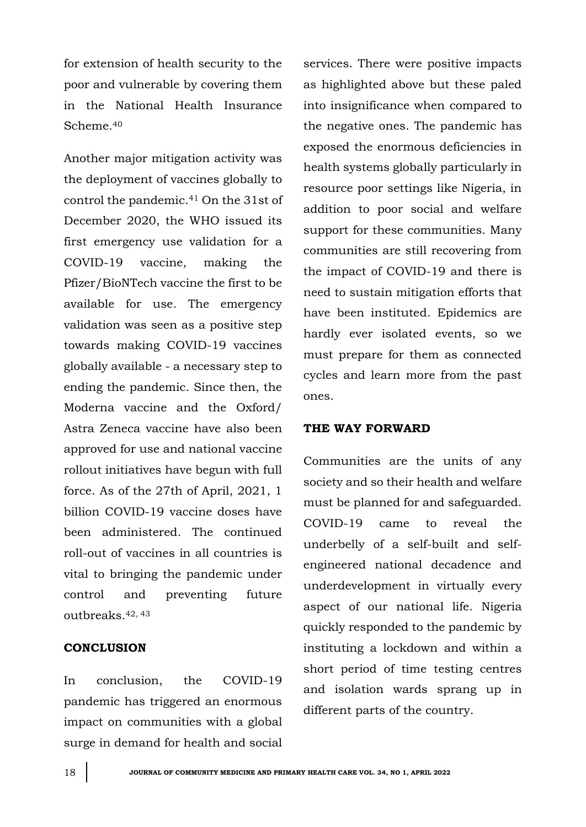for extension of health security to the poor and vulnerable by covering them in the National Health Insurance Scheme<sup>40</sup>

Another major mitigation activity was the deployment of vaccines globally to control the pandemic.<sup>41</sup> On the 31st of December 2020, the WHO issued its first emergency use validation for a COVID-19 vaccine, making the Pfizer/BioNTech vaccine the first to be available for use. The emergency validation was seen as a positive step towards making COVID-19 vaccines globally available - a necessary step to ending the pandemic. Since then, the Moderna vaccine and the Oxford/ Astra Zeneca vaccine have also been approved for use and national vaccine rollout initiatives have begun with full force. As of the 27th of April, 2021, 1 billion COVID-19 vaccine doses have been administered. The continued roll-out of vaccines in all countries is vital to bringing the pandemic under control and preventing future outbreaks.42, 43

### **CONCLUSION**

In conclusion, the COVID-19 pandemic has triggered an enormous impact on communities with a global surge in demand for health and social

services. There were positive impacts as highlighted above but these paled into insignificance when compared to the negative ones. The pandemic has exposed the enormous deficiencies in health systems globally particularly in resource poor settings like Nigeria, in addition to poor social and welfare support for these communities. Many communities are still recovering from the impact of COVID-19 and there is need to sustain mitigation efforts that have been instituted. Epidemics are hardly ever isolated events, so we must prepare for them as connected cycles and learn more from the past ones.

### **THE WAY FORWARD**

Communities are the units of any society and so their health and welfare must be planned for and safeguarded. COVID-19 came to reveal the underbelly of a self-built and selfengineered national decadence and underdevelopment in virtually every aspect of our national life. Nigeria quickly responded to the pandemic by instituting a lockdown and within a short period of time testing centres and isolation wards sprang up in different parts of the country.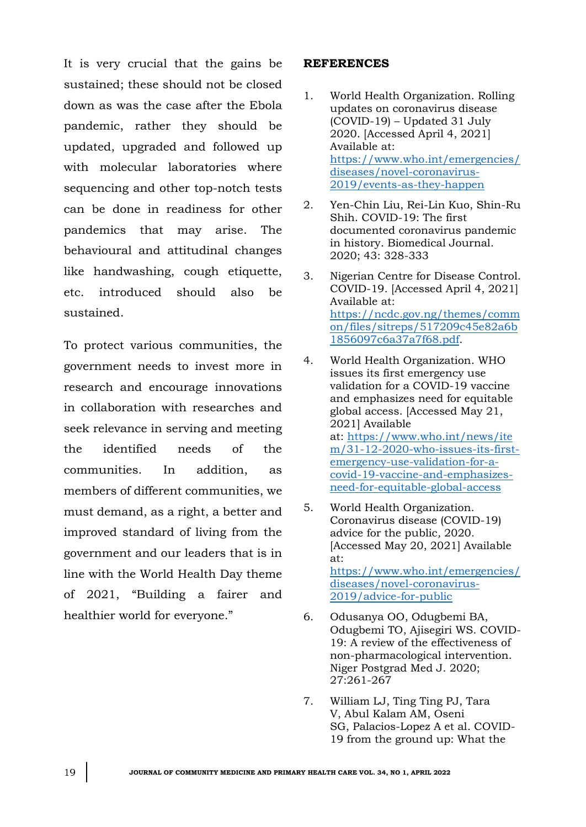It is very crucial that the gains be sustained; these should not be closed down as was the case after the Ebola pandemic, rather they should be updated, upgraded and followed up with molecular laboratories where sequencing and other top-notch tests can be done in readiness for other pandemics that may arise. The behavioural and attitudinal changes like handwashing, cough etiquette, etc. introduced should also be sustained.

To protect various communities, the government needs to invest more in research and encourage innovations in collaboration with researches and seek relevance in serving and meeting the identified needs of the communities. In addition, as members of different communities, we must demand, as a right, a better and improved standard of living from the government and our leaders that is in line with the World Health Day theme of 2021, "Building a fairer and healthier world for everyone."

#### **REFERENCES**

- 1. World Health Organization. Rolling updates on coronavirus disease (COVID-19) – Updated 31 July 2020. [Accessed April 4, 2021] Available at: [https://www.who.int/emergencies/](https://www.who.int/emergencies/diseases/novel-coronavirus-2019/events-as-they-happen) [diseases/novel-coronavirus-](https://www.who.int/emergencies/diseases/novel-coronavirus-2019/events-as-they-happen)[2019/events-as-they-happen](https://www.who.int/emergencies/diseases/novel-coronavirus-2019/events-as-they-happen)
- 2. Yen-Chin Liu, Rei-Lin Kuo, Shin-Ru Shih. COVID-19: The first documented coronavirus pandemic in history. Biomedical Journal. 2020; 43: 328-333
- 3. Nigerian Centre for Disease Control. COVID-19. [Accessed April 4, 2021] Available at: [https://ncdc.gov.ng/themes/comm](https://ncdc.gov.ng/themes/common/files/sitreps/517209c45e82a6b1856097c6a37a7f68.pdf) [on/files/sitreps/517209c45e82a6b](https://ncdc.gov.ng/themes/common/files/sitreps/517209c45e82a6b1856097c6a37a7f68.pdf) [1856097c6a37a7f68.pdf.](https://ncdc.gov.ng/themes/common/files/sitreps/517209c45e82a6b1856097c6a37a7f68.pdf)
- 4. World Health Organization. WHO issues its first emergency use validation for a COVID-19 vaccine and emphasizes need for equitable global access. [Accessed May 21, 2021] Available at: [https://www.who.int/news/ite](https://www.who.int/news/item/31-12-2020-who-issues-its-first-emergency-use-validation-for-a-covid-19-vaccine-and-emphasizes-need-for-equitable-global-access) [m/31-12-2020-who-issues-its-first](https://www.who.int/news/item/31-12-2020-who-issues-its-first-emergency-use-validation-for-a-covid-19-vaccine-and-emphasizes-need-for-equitable-global-access)[emergency-use-validation-for-a](https://www.who.int/news/item/31-12-2020-who-issues-its-first-emergency-use-validation-for-a-covid-19-vaccine-and-emphasizes-need-for-equitable-global-access)[covid-19-vaccine-and-emphasizes](https://www.who.int/news/item/31-12-2020-who-issues-its-first-emergency-use-validation-for-a-covid-19-vaccine-and-emphasizes-need-for-equitable-global-access)[need-for-equitable-global-access](https://www.who.int/news/item/31-12-2020-who-issues-its-first-emergency-use-validation-for-a-covid-19-vaccine-and-emphasizes-need-for-equitable-global-access)
- 5. World Health Organization. Coronavirus disease (COVID-19) advice for the public*,* 2020*.*  [Accessed May 20, 2021] Available at: [https://www.who.int/emergencies/](https://www.who.int/emergencies/diseases/novel-coronavirus-2019/advice-for-public) [diseases/novel-coronavirus-](https://www.who.int/emergencies/diseases/novel-coronavirus-2019/advice-for-public)[2019/advice-for-public](https://www.who.int/emergencies/diseases/novel-coronavirus-2019/advice-for-public)
- 6. Odusanya OO, Odugbemi BA, Odugbemi TO, Ajisegiri WS. COVID-19: A review of the effectiveness of non-pharmacological intervention. Niger Postgrad Med J. 2020; 27:261-267
- 7. William LJ, Ting Ting PJ, Tara V, Abul Kalam AM, Oseni SG, Palacios-Lopez A et al. COVID-19 from the ground up: What the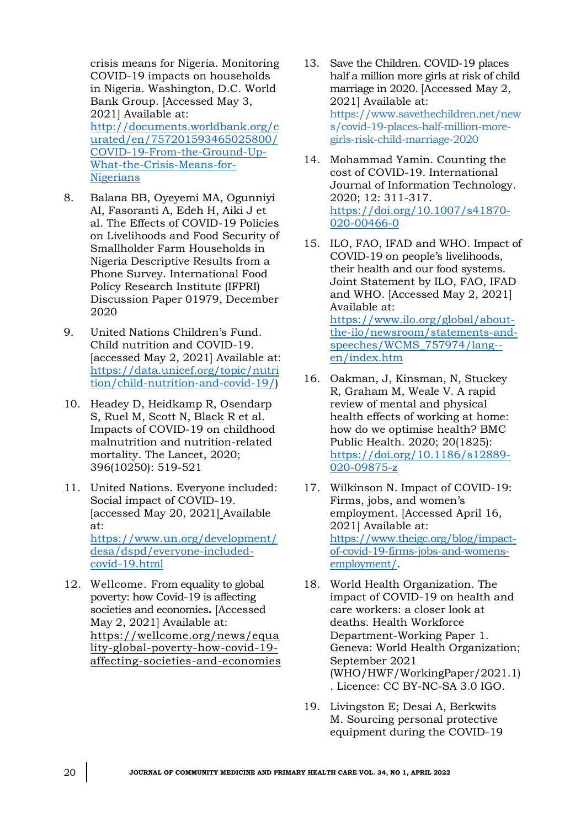crisis means for Nigeria. Monitoring COVID-19 impacts on households in Nigeria. Washington, D.C. World Bank Group. [Accessed May 3, 2021] Available at: [http://documents.worldbank.org/c](http://documents.worldbank.org/curated/en/757201593465025800/COVID-19-From-the-Ground-Up-What-the-Crisis-Means-for-Nigerians) [urated/en/757201593465025800/](http://documents.worldbank.org/curated/en/757201593465025800/COVID-19-From-the-Ground-Up-What-the-Crisis-Means-for-Nigerians) [COVID-19-From-the-Ground-Up-](http://documents.worldbank.org/curated/en/757201593465025800/COVID-19-From-the-Ground-Up-What-the-Crisis-Means-for-Nigerians)[What-the-Crisis-Means-for-](http://documents.worldbank.org/curated/en/757201593465025800/COVID-19-From-the-Ground-Up-What-the-Crisis-Means-for-Nigerians)[Nigerians](http://documents.worldbank.org/curated/en/757201593465025800/COVID-19-From-the-Ground-Up-What-the-Crisis-Means-for-Nigerians)

- 8. Balana BB, Oyeyemi MA, Ogunniyi AI, Fasoranti A, Edeh H, Aiki J et al. The Effects of COVID-19 Policies on Livelihoods and Food Security of Smallholder Farm Households in Nigeria Descriptive Results from a Phone Survey. International Food Policy Research Institute (IFPRI) Discussion Paper 01979, December 2020
- 9. United Nations Children's Fund. Child nutrition and COVID-19. [accessed May 2, 2021] Available at: [https://data.unicef.org/topic/nutri](https://data.unicef.org/topic/nutrition/child-nutrition-and-covid-19/) [tion/child-nutrition-and-covid-19/\)](https://data.unicef.org/topic/nutrition/child-nutrition-and-covid-19/)
- 10. Headey D, Heidkamp R, Osendarp S, Ruel M, Scott N, Black R et al. Impacts of COVID-19 on childhood malnutrition and nutrition-related mortality. The Lancet, 2020; 396(10250): 519-521
- 11. United Nations. Everyone included: Social impact of COVID-19. [accessed May 20, 2021] Available at: [https://www.un.org/development/](https://www.un.org/development/desa/dspd/everyone-included-covid-19.html) [desa/dspd/everyone-included-](https://www.un.org/development/desa/dspd/everyone-included-covid-19.html)

[covid-19.html](https://www.un.org/development/desa/dspd/everyone-included-covid-19.html)

12. Wellcome. From equality to global poverty: how Covid-19 is affecting societies and economies**.** [Accessed May 2, 2021] Available at: [https://wellcome.org/news/equa](https://wellcome.org/news/equality-global-poverty-how-covid-19-affecting-societies-and-economies) [lity-global-poverty-how-covid-19](https://wellcome.org/news/equality-global-poverty-how-covid-19-affecting-societies-and-economies) [affecting-societies-and-economies](https://wellcome.org/news/equality-global-poverty-how-covid-19-affecting-societies-and-economies)

- 13. Save the Children. COVID-19 places half a million more girls at risk of child marriage in 2020. [Accessed May 2, 2021] Available at: https://www.savethechildren.net/new s/covid-19-places-half-million-moregirls-risk-child-marriage-2020
- 14. Mohammad Yamin. Counting the cost of COVID-19. International Journal of Information Technology. 2020; 12: 311-317. [https://doi.org/10.1007/s41870-](https://doi.org/10.1007/s41870-020-00466-0) [020-00466-0](https://doi.org/10.1007/s41870-020-00466-0)
- 15. ILO, FAO, IFAD and WHO. Impact of COVID-19 on people's livelihoods, their health and our food systems. Joint Statement by ILO, FAO, IFAD and WHO. [Accessed May 2, 2021] Available at: [https://www.ilo.org/global/about](https://www.ilo.org/global/about-the-ilo/newsroom/statements-and-speeches/WCMS_757974/lang--en/index.htm)[the-ilo/newsroom/statements-and](https://www.ilo.org/global/about-the-ilo/newsroom/statements-and-speeches/WCMS_757974/lang--en/index.htm)[speeches/WCMS\\_757974/lang-](https://www.ilo.org/global/about-the-ilo/newsroom/statements-and-speeches/WCMS_757974/lang--en/index.htm) [en/index.htm](https://www.ilo.org/global/about-the-ilo/newsroom/statements-and-speeches/WCMS_757974/lang--en/index.htm)
- 16. Oakman, J, Kinsman, N, Stuckey R, Graham M, Weale V*.* A rapid review of mental and physical health effects of working at home: how do we optimise health? BMC Public Health. 2020; 20(1825): [https://doi.org/10.1186/s12889-](https://doi.org/10.1186/s12889-020-09875-z) [020-09875-z](https://doi.org/10.1186/s12889-020-09875-z)
- 17. Wilkinson N. Impact of COVID-19: Firms, jobs, and women's employment. [Accessed April 16, 2021] Available at: [https://www.theigc.org/blog/impact](https://www.theigc.org/blog/impact-of-covid-19-firms-jobs-and-womens-employment/)[of-covid-19-firms-jobs-and-womens](https://www.theigc.org/blog/impact-of-covid-19-firms-jobs-and-womens-employment/)[employment/.](https://www.theigc.org/blog/impact-of-covid-19-firms-jobs-and-womens-employment/)
- 18. World Health Organization. The impact of COVID-19 on health and care workers: a closer look at deaths. Health Workforce Department-Working Paper 1. Geneva: World Health Organization; September 2021 (WHO/HWF/WorkingPaper/2021.1) . Licence: CC BY-NC-SA 3.0 IGO.
- 19. Livingston E; Desai A, Berkwits M. [Sourcing personal protective](https://jamanetwork.com/journals/jama/fullarticle/2764031)  [equipment during the COVID-19](https://jamanetwork.com/journals/jama/fullarticle/2764031)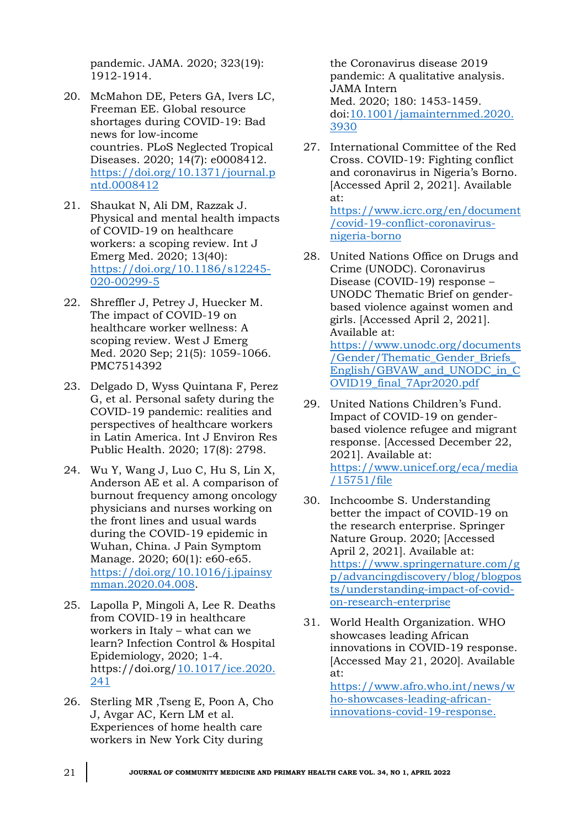[pandemic.](https://jamanetwork.com/journals/jama/fullarticle/2764031) JAMA. 2020; 323(19): 1912-1914.

- 20. McMahon DE, Peters GA, Ivers LC, Freeman EE. [Global resource](https://journals.plos.org/plosntds/article?id=10.1371/journal.pntd.0008412)  [shortages during COVID-19: Bad](https://journals.plos.org/plosntds/article?id=10.1371/journal.pntd.0008412)  [news for low-income](https://journals.plos.org/plosntds/article?id=10.1371/journal.pntd.0008412)  [countries.](https://journals.plos.org/plosntds/article?id=10.1371/journal.pntd.0008412) PLoS Neglected Tropical Diseases. 2020; 14(7): e0008412. [https://doi.org/10.1371/journal.p](https://doi.org/10.1371/journal.pntd.0008412) [ntd.0008412](https://doi.org/10.1371/journal.pntd.0008412)
- 21. Shaukat N, Ali DM, Razzak J. Physical and mental health impacts of COVID-19 on healthcare workers: a scoping review. Int J Emerg Med. 2020; 13(40): [https://doi.org/10.1186/s12245-](https://doi.org/10.1186/s12245-020-00299-5) [020-00299-5](https://doi.org/10.1186/s12245-020-00299-5)
- 22. Shreffler J, Petrey J, Huecker M. [The impact of COVID-19 on](https://www.ncbi.nlm.nih.gov/pmc/articles/PMC7514392/)  [healthcare worker wellness: A](https://www.ncbi.nlm.nih.gov/pmc/articles/PMC7514392/)  [scoping review.](https://www.ncbi.nlm.nih.gov/pmc/articles/PMC7514392/) West J Emerg Med. 2020 Sep; 21(5): 1059-1066. PMC7514392
- 23. Delgado D, Wyss Quintana F, Perez G, et al. Personal safety during the COVID-19 pandemic: realities and perspectives of healthcare workers in Latin America. Int J Environ Res Public Health. 2020; 17(8): 2798.
- 24. Wu Y, Wang J, Luo C, Hu S, Lin X, Anderson AE et al. A comparison of burnout frequency among oncology physicians and nurses working on the front lines and usual wards during the COVID-19 epidemic in Wuhan, China. J Pain Symptom Manage. 2020; 60(1): e60-e65. [https://doi.org/10.1016/j.jpainsy](https://doi.org/10.1016/j.jpainsymman.2020.04.008) [mman.2020.04.008.](https://doi.org/10.1016/j.jpainsymman.2020.04.008)
- 25. Lapolla P, Mingoli A, Lee R. [Deaths](https://www.cambridge.org/core/product/identifier/S0899823X2000241X/type/journal_article)  [from COVID-19 in healthcare](https://www.cambridge.org/core/product/identifier/S0899823X2000241X/type/journal_article)  [workers in Italy](https://www.cambridge.org/core/product/identifier/S0899823X2000241X/type/journal_article) – what can we [learn?](https://www.cambridge.org/core/product/identifier/S0899823X2000241X/type/journal_article) Infection Control & Hospital Epidemiology, 2020; 1-4. https://doi.org[/10.1017/ice.2020.](https://dx.doi.org/10.1017%2Fice.2020.241) [241](https://dx.doi.org/10.1017%2Fice.2020.241)
- 26. Sterling MR ,Tseng E, Poon A, Cho J, Avgar AC, Kern LM et al. Experiences of home health care workers in New York City during

the Coronavirus disease 2019 pandemic: A qualitative analysis. JAMA Intern Med. 2020; 180: 1453-1459. doi[:10.1001/jamainternmed.2020.](https://doi.org/10.1001/jamainternmed.2020.3930) [3930](https://doi.org/10.1001/jamainternmed.2020.3930)

27. International Committee of the Red Cross. COVID-19: Fighting conflict and coronavirus in Nigeria's Borno. [Accessed April 2, 2021]. Available at: [https://www.icrc.org/en/document](https://www.icrc.org/en/document/covid-19-conflict-coronavirus-nigeria-borno)

[/covid-19-conflict-coronavirus](https://www.icrc.org/en/document/covid-19-conflict-coronavirus-nigeria-borno)[nigeria-borno](https://www.icrc.org/en/document/covid-19-conflict-coronavirus-nigeria-borno)

- 28. United Nations Office on Drugs and Crime (UNODC). Coronavirus Disease (COVID-19) response – UNODC Thematic Brief on genderbased violence against women and girls. [Accessed April 2, 2021]. Available at: [https://www.unodc.org/documents](https://www.unodc.org/documents/Gender/Thematic_Gender_Briefs_English/GBVAW_and_UNODC_in_COVID19_final_7Apr2020.pdf) [/Gender/Thematic\\_Gender\\_Briefs\\_](https://www.unodc.org/documents/Gender/Thematic_Gender_Briefs_English/GBVAW_and_UNODC_in_COVID19_final_7Apr2020.pdf) [English/GBVAW\\_and\\_UNODC\\_in\\_C](https://www.unodc.org/documents/Gender/Thematic_Gender_Briefs_English/GBVAW_and_UNODC_in_COVID19_final_7Apr2020.pdf) [OVID19\\_final\\_7Apr2020.pdf](https://www.unodc.org/documents/Gender/Thematic_Gender_Briefs_English/GBVAW_and_UNODC_in_COVID19_final_7Apr2020.pdf)
- 29. United Nations Children's Fund. Impact of COVID-19 on genderbased violence refugee and migrant response. [Accessed December 22, 2021]. Available at: [https://www.unicef.org/eca/media](https://www.unicef.org/eca/media/15751/file) [/15751/file](https://www.unicef.org/eca/media/15751/file)
- 30. Inchcoombe S. Understanding better the impact of COVID-19 on the research enterprise. Springer Nature Group. 2020; [Accessed April 2, 2021]. Available at: [https://www.springernature.com/g](https://www.springernature.com/gp/advancingdiscovery/blog/blogposts/understanding-impact-of-covid-on-research-enterprise) [p/advancingdiscovery/blog/blogpos](https://www.springernature.com/gp/advancingdiscovery/blog/blogposts/understanding-impact-of-covid-on-research-enterprise) [ts/understanding-impact-of-covid](https://www.springernature.com/gp/advancingdiscovery/blog/blogposts/understanding-impact-of-covid-on-research-enterprise)[on-research-enterprise](https://www.springernature.com/gp/advancingdiscovery/blog/blogposts/understanding-impact-of-covid-on-research-enterprise)
- 31. World Health Organization. WHO showcases leading African innovations in COVID-19 response. [Accessed May 21, 2020]. Available at: [https://www.afro.who.int/news/w](https://www.afro.who.int/news/who-showcases-leading-african-innovations-covid-19-response)

[ho-showcases-leading-african](https://www.afro.who.int/news/who-showcases-leading-african-innovations-covid-19-response)[innovations-covid-19-response.](https://www.afro.who.int/news/who-showcases-leading-african-innovations-covid-19-response)